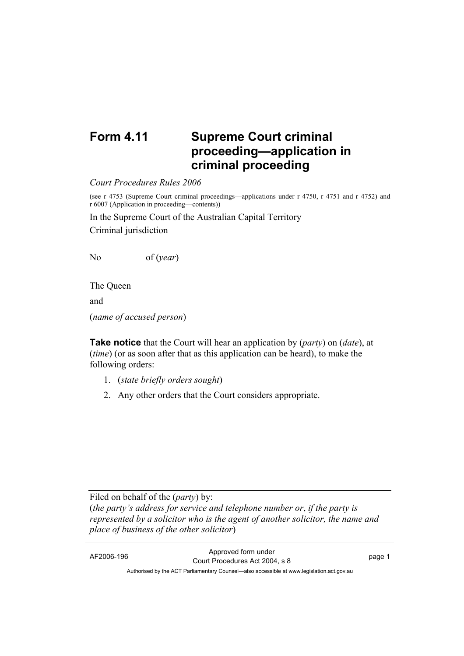## **Form 4.11 Supreme Court criminal proceeding—application in criminal proceeding**

*Court Procedures Rules 2006*

(see r 4753 (Supreme Court criminal proceedings—applications under r 4750, r 4751 and r 4752) and r 6007 (Application in proceeding—contents))

In the Supreme Court of the Australian Capital Territory Criminal jurisdiction

No of (*year*)

The Queen and

(*name of accused person*)

**Take notice** that the Court will hear an application by (*party*) on (*date*), at (*time*) (or as soon after that as this application can be heard), to make the following orders:

- 1. (*state briefly orders sought*)
- 2. Any other orders that the Court considers appropriate.

Filed on behalf of the (*party*) by:

(*the party's address for service and telephone number or*, *if the party is represented by a solicitor who is the agent of another solicitor, the name and place of business of the other solicitor*)

AF2006-196 Approved form under Court Procedures Act 2004, s 8 page 1 Authorised by the ACT Parliamentary Counsel—also accessible at www.legislation.act.gov.au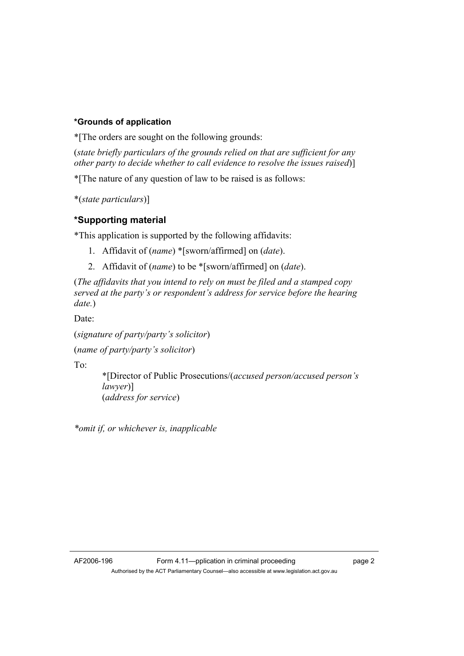## **\*Grounds of application**

\*[The orders are sought on the following grounds:

(*state briefly particulars of the grounds relied on that are sufficient for any other party to decide whether to call evidence to resolve the issues raised*)]

\*[The nature of any question of law to be raised is as follows:

\*(*state particulars*)]

## **\*Supporting material**

\*This application is supported by the following affidavits:

- 1. Affidavit of (*name*) \*[sworn/affirmed] on (*date*).
- 2. Affidavit of (*name*) to be \*[sworn/affirmed] on (*date*).

(*The affidavits that you intend to rely on must be filed and a stamped copy served at the party's or respondent's address for service before the hearing date.*)

Date:

(*signature of party/party's solicitor*)

(*name of party/party's solicitor*)

To:

 \*[Director of Public Prosecutions/(*accused person/accused person's lawyer*)] (*address for service*)

*\*omit if, or whichever is, inapplicable*